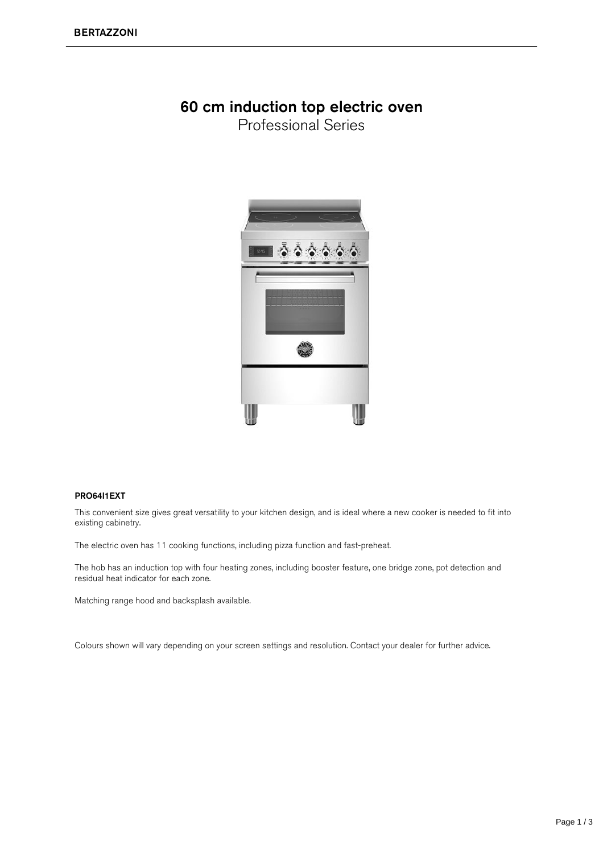### 60 cm induction top electric oven

**Professional Series** 



#### PRO64I1EXT

This convenient size gives great versatility to your kitchen design, and is ideal where a new cooker is needed to fit into existing cabinetry.

The electric oven has 11 cooking functions, including pizza function and fast-preheat.

The hob has an induction top with four heating zones, including booster feature, one bridge zone, pot detection and residual heat indicator for each zone.

Matching range hood and backsplash available.

Colours shown will vary depending on your screen settings and resolution. Contact your dealer for further advice.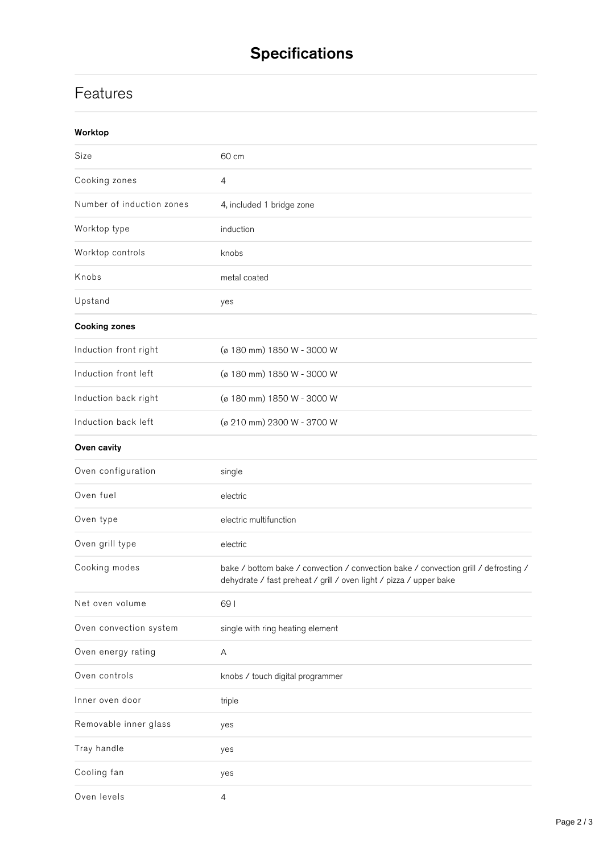## **Specifications**

## **Features**

| Worktop                   |                                                                                                                                                           |
|---------------------------|-----------------------------------------------------------------------------------------------------------------------------------------------------------|
| Size                      | 60 cm                                                                                                                                                     |
| Cooking zones             | $\overline{4}$                                                                                                                                            |
| Number of induction zones | 4, included 1 bridge zone                                                                                                                                 |
| Worktop type              | induction                                                                                                                                                 |
| Worktop controls          | knobs                                                                                                                                                     |
| Knobs                     | metal coated                                                                                                                                              |
| Upstand                   | yes                                                                                                                                                       |
| <b>Cooking zones</b>      |                                                                                                                                                           |
| Induction front right     | (ø 180 mm) 1850 W - 3000 W                                                                                                                                |
| Induction front left      | (ø 180 mm) 1850 W - 3000 W                                                                                                                                |
| Induction back right      | (ø 180 mm) 1850 W - 3000 W                                                                                                                                |
| Induction back left       | (ø 210 mm) 2300 W - 3700 W                                                                                                                                |
| Oven cavity               |                                                                                                                                                           |
| Oven configuration        | single                                                                                                                                                    |
| Oven fuel                 | electric                                                                                                                                                  |
| Oven type                 | electric multifunction                                                                                                                                    |
| Oven grill type           | electric                                                                                                                                                  |
| Cooking modes             | bake / bottom bake / convection / convection bake / convection grill / defrosting /<br>dehydrate / fast preheat / grill / oven light / pizza / upper bake |
| Net oven volume           | 691                                                                                                                                                       |
| Oven convection system    | single with ring heating element                                                                                                                          |
| Oven energy rating        | Α                                                                                                                                                         |
| Oven controls             | knobs / touch digital programmer                                                                                                                          |
| Inner oven door           | triple                                                                                                                                                    |
| Removable inner glass     | yes                                                                                                                                                       |
| Tray handle               | yes                                                                                                                                                       |
| Cooling fan               | yes                                                                                                                                                       |
| Oven levels               | 4                                                                                                                                                         |